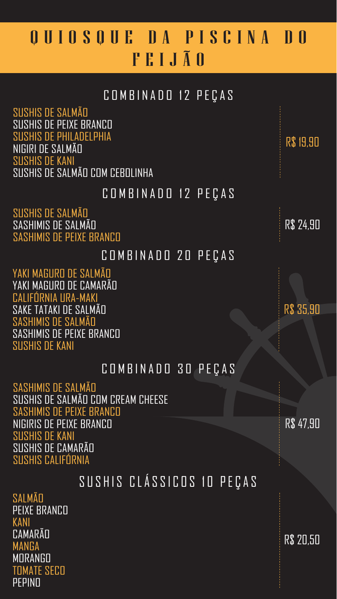### COMBINADO 12 PEÇAS

SUSHIS DE SALMÃO SASHIMIS DE SALMÃO SASHIMIS DE PEIXE BRANCO

# Q U I O S Q U E D A P I S C I N A D O FEIJÃO

#### COMBINADO 12 PEÇAS

SALMÃO PEIXE BRANCO KANI **CAMARÃO** MANGA **MORANGO** 

R\$ 19,90

SUSHIS DE SALMÃO SUSHIS DE PEIXE BRANCO SUSHIS DE PHILADELPHIA NIGIRI DE SALMÃO SUSHIS DE KANI SUSHIS DE SALMÃO COM CEBOLINHA

## SUSHIS CLÁSSICOS 10 PEÇAS

R\$ 20,50







### COMBINADO 30 PEÇAS

R\$ 47,90

SASHIMIS DE SALMÃO SUSHIS DE SALMÃO COM CREAM CHEESE SASHIMIS DE PEIXE BRANCO NIGIRIS DE PEIXE BRANCO SUSHIS DE KANI SUSHIS DE CAMARÃO SUSHIS CALIFÓRNIA

COMBINADO 20 PEÇAS

YAKI MAGURO DE SALMÃO



YAKI MAGURO DE CAMARÃO CALIFÓRNIA URA-MAKI SAKE TATAKI DE SALMÃO SASHIMIS DE SALMÃO SASHIMIS DE PEIXE BRANCO SUSHIS DE KANI